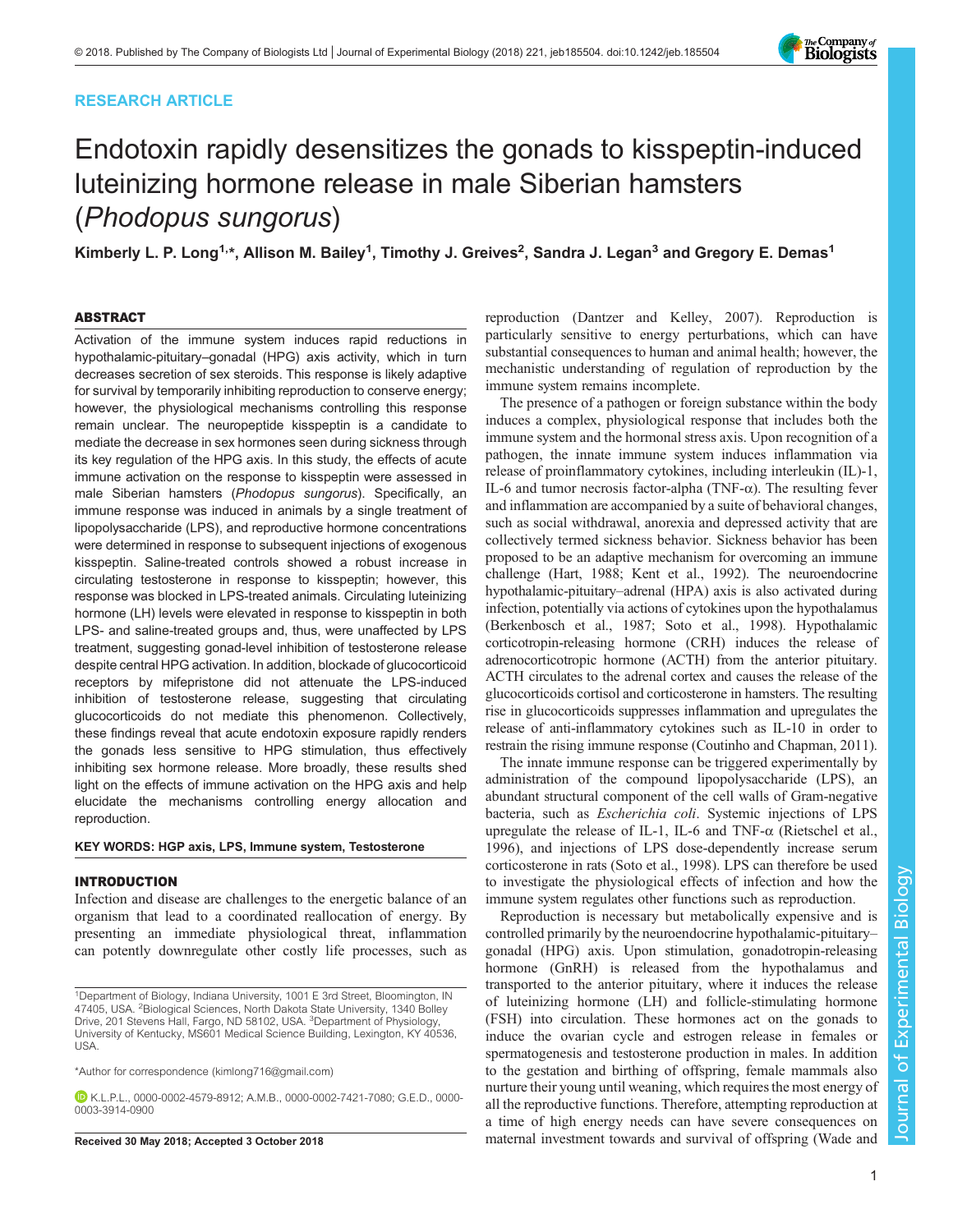# RESEARCH ARTICLE



# Endotoxin rapidly desensitizes the gonads to kisspeptin-induced luteinizing hormone release in male Siberian hamsters (Phodopus sungorus)

Kimberly L. P. Long<sup>1,</sup>\*, Allison M. Bailey<sup>1</sup>, Timothy J. Greives<sup>2</sup>, Sandra J. Legan<sup>3</sup> and Gregory E. Demas<sup>1</sup>

## ABSTRACT

Activation of the immune system induces rapid reductions in hypothalamic-pituitary–gonadal (HPG) axis activity, which in turn decreases secretion of sex steroids. This response is likely adaptive for survival by temporarily inhibiting reproduction to conserve energy; however, the physiological mechanisms controlling this response remain unclear. The neuropeptide kisspeptin is a candidate to mediate the decrease in sex hormones seen during sickness through its key regulation of the HPG axis. In this study, the effects of acute immune activation on the response to kisspeptin were assessed in male Siberian hamsters (Phodopus sungorus). Specifically, an immune response was induced in animals by a single treatment of lipopolysaccharide (LPS), and reproductive hormone concentrations were determined in response to subsequent injections of exogenous kisspeptin. Saline-treated controls showed a robust increase in circulating testosterone in response to kisspeptin; however, this response was blocked in LPS-treated animals. Circulating luteinizing hormone (LH) levels were elevated in response to kisspeptin in both LPS- and saline-treated groups and, thus, were unaffected by LPS treatment, suggesting gonad-level inhibition of testosterone release despite central HPG activation. In addition, blockade of glucocorticoid receptors by mifepristone did not attenuate the LPS-induced inhibition of testosterone release, suggesting that circulating glucocorticoids do not mediate this phenomenon. Collectively, these findings reveal that acute endotoxin exposure rapidly renders the gonads less sensitive to HPG stimulation, thus effectively inhibiting sex hormone release. More broadly, these results shed light on the effects of immune activation on the HPG axis and help elucidate the mechanisms controlling energy allocation and reproduction.

## KEY WORDS: HGP axis, LPS, Immune system, Testosterone

#### INTRODUCTION

Infection and disease are challenges to the energetic balance of an organism that lead to a coordinated reallocation of energy. By presenting an immediate physiological threat, inflammation can potently downregulate other costly life processes, such as

\*Author for correspondence [\(kimlong716@gmail.com](mailto:kimlong716@gmail.com))

K.L.P.L., [0000-0002-4579-8912;](http://orcid.org/0000-0002-4579-8912) A.M.B., [0000-0002-7421-7080;](http://orcid.org/0000-0002-7421-7080) G.E.D., [0000-](http://orcid.org/0000-0003-3914-0900) [0003-3914-0900](http://orcid.org/0000-0003-3914-0900)

reproduction ([Dantzer and Kelley, 2007\)](#page-8-0). Reproduction is particularly sensitive to energy perturbations, which can have substantial consequences to human and animal health; however, the mechanistic understanding of regulation of reproduction by the immune system remains incomplete.

The presence of a pathogen or foreign substance within the body induces a complex, physiological response that includes both the immune system and the hormonal stress axis. Upon recognition of a pathogen, the innate immune system induces inflammation via release of proinflammatory cytokines, including interleukin (IL)-1, IL-6 and tumor necrosis factor-alpha (TNF-α). The resulting fever and inflammation are accompanied by a suite of behavioral changes, such as social withdrawal, anorexia and depressed activity that are collectively termed sickness behavior. Sickness behavior has been proposed to be an adaptive mechanism for overcoming an immune challenge ([Hart, 1988](#page-8-0); [Kent et al., 1992](#page-8-0)). The neuroendocrine hypothalamic-pituitary–adrenal (HPA) axis is also activated during infection, potentially via actions of cytokines upon the hypothalamus [\(Berkenbosch et al., 1987; Soto et al., 1998\)](#page-8-0). Hypothalamic corticotropin-releasing hormone (CRH) induces the release of adrenocorticotropic hormone (ACTH) from the anterior pituitary. ACTH circulates to the adrenal cortex and causes the release of the glucocorticoids cortisol and corticosterone in hamsters. The resulting rise in glucocorticoids suppresses inflammation and upregulates the release of anti-inflammatory cytokines such as IL-10 in order to restrain the rising immune response ([Coutinho and Chapman, 2011\)](#page-8-0).

The innate immune response can be triggered experimentally by administration of the compound lipopolysaccharide (LPS), an abundant structural component of the cell walls of Gram-negative bacteria, such as Escherichia coli. Systemic injections of LPS upregulate the release of IL-1, IL-6 and TNF- $\alpha$  ([Rietschel et al.,](#page-8-0) [1996\)](#page-8-0), and injections of LPS dose-dependently increase serum corticosterone in rats ([Soto et al., 1998](#page-8-0)). LPS can therefore be used to investigate the physiological effects of infection and how the immune system regulates other functions such as reproduction.

Reproduction is necessary but metabolically expensive and is controlled primarily by the neuroendocrine hypothalamic-pituitary– gonadal (HPG) axis. Upon stimulation, gonadotropin-releasing hormone (GnRH) is released from the hypothalamus and transported to the anterior pituitary, where it induces the release of luteinizing hormone (LH) and follicle-stimulating hormone (FSH) into circulation. These hormones act on the gonads to induce the ovarian cycle and estrogen release in females or spermatogenesis and testosterone production in males. In addition to the gestation and birthing of offspring, female mammals also nurture their young until weaning, which requires the most energy of all the reproductive functions. Therefore, attempting reproduction at a time of high energy needs can have severe consequences on Received 30 May 2018; Accepted 3 October 2018 maternal investment towards and survival of offspring ([Wade and](#page-8-0)

<sup>1</sup>Department of Biology, Indiana University, 1001 E 3rd Street, Bloomington, IN 47405, USA. <sup>2</sup> Biological Sciences, North Dakota State University, 1340 Bolley Drive, 201 Stevens Hall, Fargo, ND 58102, USA. <sup>3</sup>Department of Physiology, University of Kentucky, MS601 Medical Science Building, Lexington, KY 40536, USA.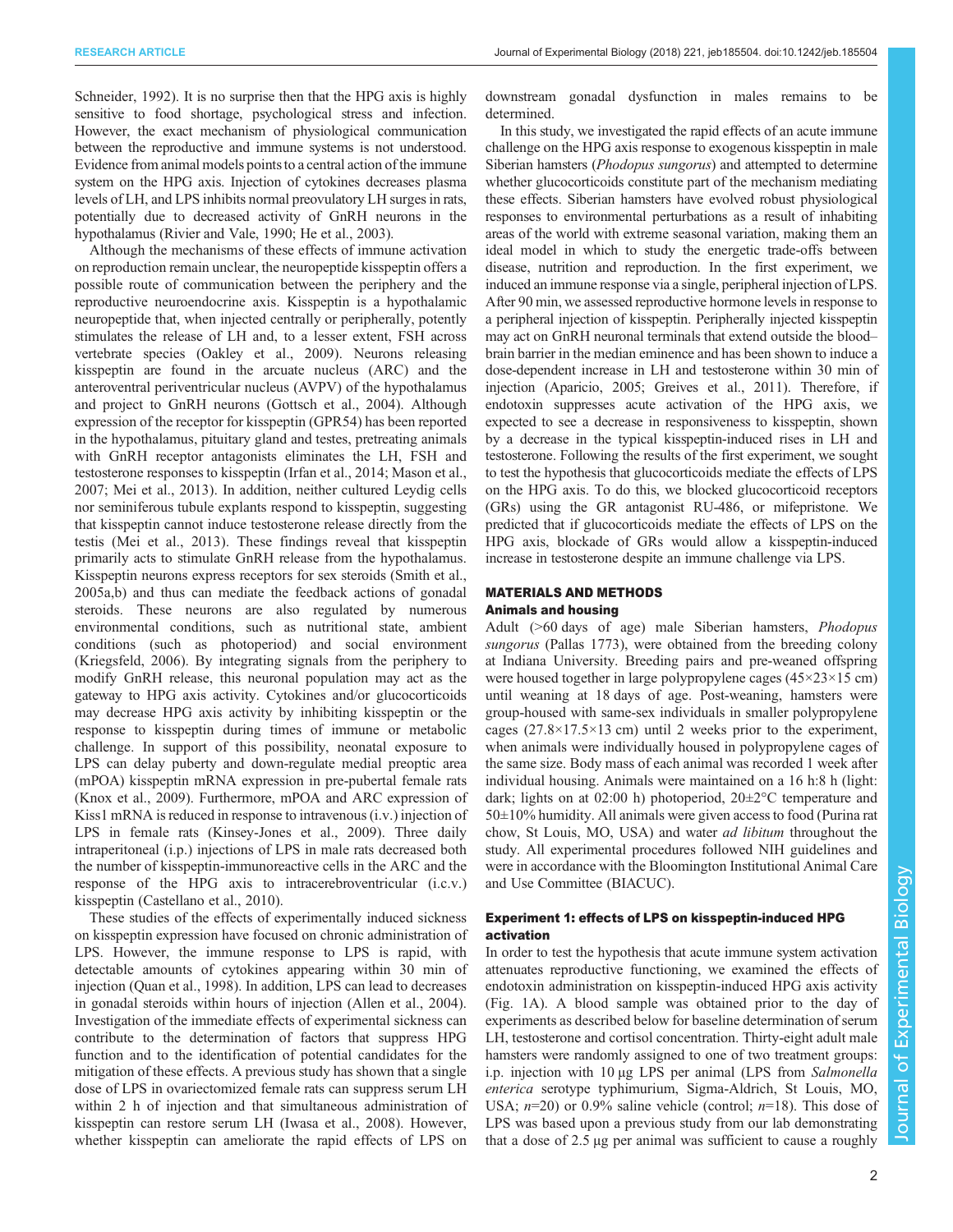[Schneider, 1992\)](#page-8-0). It is no surprise then that the HPG axis is highly sensitive to food shortage, psychological stress and infection. However, the exact mechanism of physiological communication between the reproductive and immune systems is not understood. Evidence from animal models points to a central action of the immune system on the HPG axis. Injection of cytokines decreases plasma levels of LH, and LPS inhibits normal preovulatory LH surges in rats, potentially due to decreased activity of GnRH neurons in the hypothalamus ([Rivier and Vale, 1990; He et al., 2003\)](#page-8-0).

Although the mechanisms of these effects of immune activation on reproduction remain unclear, the neuropeptide kisspeptin offers a possible route of communication between the periphery and the reproductive neuroendocrine axis. Kisspeptin is a hypothalamic neuropeptide that, when injected centrally or peripherally, potently stimulates the release of LH and, to a lesser extent, FSH across vertebrate species [\(Oakley et al., 2009\)](#page-8-0). Neurons releasing kisspeptin are found in the arcuate nucleus (ARC) and the anteroventral periventricular nucleus (AVPV) of the hypothalamus and project to GnRH neurons ([Gottsch et al., 2004](#page-8-0)). Although expression of the receptor for kisspeptin (GPR54) has been reported in the hypothalamus, pituitary gland and testes, pretreating animals with GnRH receptor antagonists eliminates the LH, FSH and testosterone responses to kisspeptin ([Irfan et al., 2014](#page-8-0); [Mason et al.,](#page-8-0) [2007](#page-8-0); [Mei et al., 2013\)](#page-8-0). In addition, neither cultured Leydig cells nor seminiferous tubule explants respond to kisspeptin, suggesting that kisspeptin cannot induce testosterone release directly from the testis ([Mei et al., 2013](#page-8-0)). These findings reveal that kisspeptin primarily acts to stimulate GnRH release from the hypothalamus. Kisspeptin neurons express receptors for sex steroids ([Smith et al.,](#page-8-0) [2005a](#page-8-0),[b](#page-8-0)) and thus can mediate the feedback actions of gonadal steroids. These neurons are also regulated by numerous environmental conditions, such as nutritional state, ambient conditions (such as photoperiod) and social environment [\(Kriegsfeld, 2006](#page-8-0)). By integrating signals from the periphery to modify GnRH release, this neuronal population may act as the gateway to HPG axis activity. Cytokines and/or glucocorticoids may decrease HPG axis activity by inhibiting kisspeptin or the response to kisspeptin during times of immune or metabolic challenge. In support of this possibility, neonatal exposure to LPS can delay puberty and down-regulate medial preoptic area (mPOA) kisspeptin mRNA expression in pre-pubertal female rats [\(Knox et al., 2009](#page-8-0)). Furthermore, mPOA and ARC expression of Kiss1 mRNA is reduced in response to intravenous (i.v.) injection of LPS in female rats ([Kinsey-Jones et al., 2009](#page-8-0)). Three daily intraperitoneal (i.p.) injections of LPS in male rats decreased both the number of kisspeptin-immunoreactive cells in the ARC and the response of the HPG axis to intracerebroventricular (i.c.v.) kisspeptin ([Castellano et al., 2010\)](#page-8-0).

These studies of the effects of experimentally induced sickness on kisspeptin expression have focused on chronic administration of LPS. However, the immune response to LPS is rapid, with detectable amounts of cytokines appearing within 30 min of injection [\(Quan et al., 1998](#page-8-0)). In addition, LPS can lead to decreases in gonadal steroids within hours of injection [\(Allen et al., 2004\)](#page-7-0). Investigation of the immediate effects of experimental sickness can contribute to the determination of factors that suppress HPG function and to the identification of potential candidates for the mitigation of these effects. A previous study has shown that a single dose of LPS in ovariectomized female rats can suppress serum LH within 2 h of injection and that simultaneous administration of kisspeptin can restore serum LH [\(Iwasa et al., 2008](#page-8-0)). However, whether kisspeptin can ameliorate the rapid effects of LPS on

downstream gonadal dysfunction in males remains to be determined.

In this study, we investigated the rapid effects of an acute immune challenge on the HPG axis response to exogenous kisspeptin in male Siberian hamsters (*Phodopus sungorus*) and attempted to determine whether glucocorticoids constitute part of the mechanism mediating these effects. Siberian hamsters have evolved robust physiological responses to environmental perturbations as a result of inhabiting areas of the world with extreme seasonal variation, making them an ideal model in which to study the energetic trade-offs between disease, nutrition and reproduction. In the first experiment, we induced an immune response via a single, peripheral injection of LPS. After 90 min, we assessed reproductive hormone levels in response to a peripheral injection of kisspeptin. Peripherally injected kisspeptin may act on GnRH neuronal terminals that extend outside the blood– brain barrier in the median eminence and has been shown to induce a dose-dependent increase in LH and testosterone within 30 min of injection [\(Aparicio, 2005](#page-7-0); [Greives et al., 2011](#page-8-0)). Therefore, if endotoxin suppresses acute activation of the HPG axis, we expected to see a decrease in responsiveness to kisspeptin, shown by a decrease in the typical kisspeptin-induced rises in LH and testosterone. Following the results of the first experiment, we sought to test the hypothesis that glucocorticoids mediate the effects of LPS on the HPG axis. To do this, we blocked glucocorticoid receptors (GRs) using the GR antagonist RU-486, or mifepristone. We predicted that if glucocorticoids mediate the effects of LPS on the HPG axis, blockade of GRs would allow a kisspeptin-induced increase in testosterone despite an immune challenge via LPS.

# MATERIALS AND METHODS Animals and housing

Adult (>60 days of age) male Siberian hamsters, Phodopus sungorus (Pallas 1773), were obtained from the breeding colony at Indiana University. Breeding pairs and pre-weaned offspring were housed together in large polypropylene cages (45×23×15 cm) until weaning at 18 days of age. Post-weaning, hamsters were group-housed with same-sex individuals in smaller polypropylene cages  $(27.8\times17.5\times13$  cm) until 2 weeks prior to the experiment, when animals were individually housed in polypropylene cages of the same size. Body mass of each animal was recorded 1 week after individual housing. Animals were maintained on a 16 h:8 h (light: dark; lights on at 02:00 h) photoperiod, 20±2°C temperature and  $50\pm10\%$  humidity. All animals were given access to food (Purina rat chow, St Louis, MO, USA) and water ad libitum throughout the study. All experimental procedures followed NIH guidelines and were in accordance with the Bloomington Institutional Animal Care and Use Committee (BIACUC).

# Experiment 1: effects of LPS on kisspeptin-induced HPG activation

In order to test the hypothesis that acute immune system activation attenuates reproductive functioning, we examined the effects of endotoxin administration on kisspeptin-induced HPG axis activity [\(Fig. 1A](#page-2-0)). A blood sample was obtained prior to the day of experiments as described below for baseline determination of serum LH, testosterone and cortisol concentration. Thirty-eight adult male hamsters were randomly assigned to one of two treatment groups: i.p. injection with 10 µg LPS per animal (LPS from Salmonella enterica serotype typhimurium, Sigma-Aldrich, St Louis, MO, USA;  $n=20$ ) or 0.9% saline vehicle (control;  $n=18$ ). This dose of LPS was based upon a previous study from our lab demonstrating that a dose of 2.5 µg per animal was sufficient to cause a roughly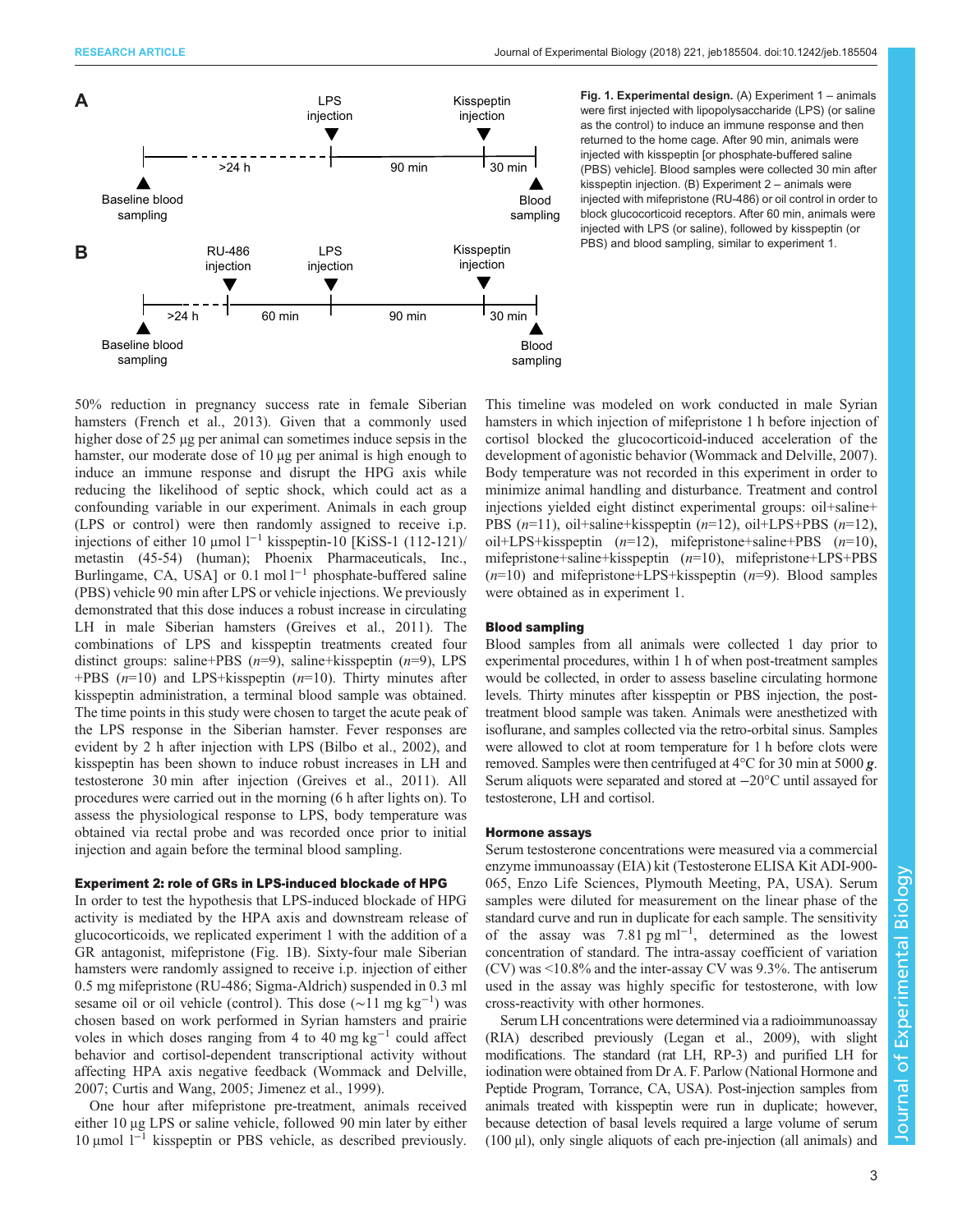<span id="page-2-0"></span>

Fig. 1. Experimental design. (A) Experiment 1 – animals were first injected with lipopolysaccharide (LPS) (or saline as the control) to induce an immune response and then returned to the home cage. After 90 min, animals were injected with kisspeptin [or phosphate-buffered saline (PBS) vehicle]. Blood samples were collected 30 min after kisspeptin injection. (B) Experiment 2 – animals were injected with mifepristone (RU-486) or oil control in order to block glucocorticoid receptors. After 60 min, animals were injected with LPS (or saline), followed by kisspeptin (or PBS) and blood sampling, similar to experiment 1.

50% reduction in pregnancy success rate in female Siberian hamsters ([French et al., 2013](#page-8-0)). Given that a commonly used higher dose of 25 µg per animal can sometimes induce sepsis in the hamster, our moderate dose of 10 µg per animal is high enough to induce an immune response and disrupt the HPG axis while reducing the likelihood of septic shock, which could act as a confounding variable in our experiment. Animals in each group (LPS or control) were then randomly assigned to receive i.p. injections of either 10 μmol l−<sup>1</sup> kisspeptin-10 [KiSS-1 (112-121)/ metastin (45-54) (human); Phoenix Pharmaceuticals, Inc., Burlingame, CA, USA] or 0.1 mol l<sup>-1</sup> phosphate-buffered saline (PBS) vehicle 90 min after LPS or vehicle injections. We previously demonstrated that this dose induces a robust increase in circulating LH in male Siberian hamsters [\(Greives et al., 2011](#page-8-0)). The combinations of LPS and kisspeptin treatments created four distinct groups: saline+PBS  $(n=9)$ , saline+kisspeptin  $(n=9)$ , LPS +PBS  $(n=10)$  and LPS+kisspeptin  $(n=10)$ . Thirty minutes after kisspeptin administration, a terminal blood sample was obtained. The time points in this study were chosen to target the acute peak of the LPS response in the Siberian hamster. Fever responses are evident by 2 h after injection with LPS ([Bilbo et al., 2002](#page-8-0)), and kisspeptin has been shown to induce robust increases in LH and testosterone 30 min after injection [\(Greives et al., 2011\)](#page-8-0). All procedures were carried out in the morning (6 h after lights on). To assess the physiological response to LPS, body temperature was obtained via rectal probe and was recorded once prior to initial injection and again before the terminal blood sampling.

#### Experiment 2: role of GRs in LPS-induced blockade of HPG

In order to test the hypothesis that LPS-induced blockade of HPG activity is mediated by the HPA axis and downstream release of glucocorticoids, we replicated experiment 1 with the addition of a GR antagonist, mifepristone (Fig. 1B). Sixty-four male Siberian hamsters were randomly assigned to receive i.p. injection of either 0.5 mg mifepristone (RU-486; Sigma-Aldrich) suspended in 0.3 ml sesame oil or oil vehicle (control). This dose (∼11 mg kg<sup>-1</sup>) was chosen based on work performed in Syrian hamsters and prairie voles in which doses ranging from 4 to 40 mg kg<sup>-1</sup> could affect behavior and cortisol-dependent transcriptional activity without affecting HPA axis negative feedback [\(Wommack and Delville,](#page-8-0) [2007](#page-8-0); [Curtis and Wang, 2005](#page-8-0); [Jimenez et al., 1999\)](#page-8-0).

One hour after mifepristone pre-treatment, animals received either 10 μg LPS or saline vehicle, followed 90 min later by either 10 μmol l−<sup>1</sup> kisspeptin or PBS vehicle, as described previously. This timeline was modeled on work conducted in male Syrian hamsters in which injection of mifepristone 1 h before injection of cortisol blocked the glucocorticoid-induced acceleration of the development of agonistic behavior [\(Wommack and Delville, 2007\)](#page-8-0). Body temperature was not recorded in this experiment in order to minimize animal handling and disturbance. Treatment and control injections yielded eight distinct experimental groups: oil+saline+ PBS  $(n=11)$ , oil+saline+kisspeptin  $(n=12)$ , oil+LPS+PBS  $(n=12)$ , oil+LPS+kisspeptin  $(n=12)$ , mifepristone+saline+PBS  $(n=10)$ , mifepristone+saline+kisspeptin (n=10), mifepristone+LPS+PBS  $(n=10)$  and mifepristone+LPS+kisspeptin  $(n=9)$ . Blood samples were obtained as in experiment 1.

## Blood sampling

Blood samples from all animals were collected 1 day prior to experimental procedures, within 1 h of when post-treatment samples would be collected, in order to assess baseline circulating hormone levels. Thirty minutes after kisspeptin or PBS injection, the posttreatment blood sample was taken. Animals were anesthetized with isoflurane, and samples collected via the retro-orbital sinus. Samples were allowed to clot at room temperature for 1 h before clots were removed. Samples were then centrifuged at  $4^{\circ}$ C for 30 min at 5000 g. Serum aliquots were separated and stored at −20°C until assayed for testosterone, LH and cortisol.

## Hormone assays

Serum testosterone concentrations were measured via a commercial enzyme immunoassay (EIA) kit (Testosterone ELISA Kit ADI-900- 065, Enzo Life Sciences, Plymouth Meeting, PA, USA). Serum samples were diluted for measurement on the linear phase of the standard curve and run in duplicate for each sample. The sensitivity of the assay was 7.81 pg ml<sup>-1</sup>, determined as the lowest concentration of standard. The intra-assay coefficient of variation (CV) was <10.8% and the inter-assay CV was 9.3%. The antiserum used in the assay was highly specific for testosterone, with low cross-reactivity with other hormones.

Serum LH concentrations were determined via a radioimmunoassay (RIA) described previously ([Legan et al., 2009\)](#page-8-0), with slight modifications. The standard (rat LH, RP-3) and purified LH for iodination were obtained from Dr A. F. Parlow (National Hormone and Peptide Program, Torrance, CA, USA). Post-injection samples from animals treated with kisspeptin were run in duplicate; however, because detection of basal levels required a large volume of serum  $(100 \mu l)$ , only single aliquots of each pre-injection (all animals) and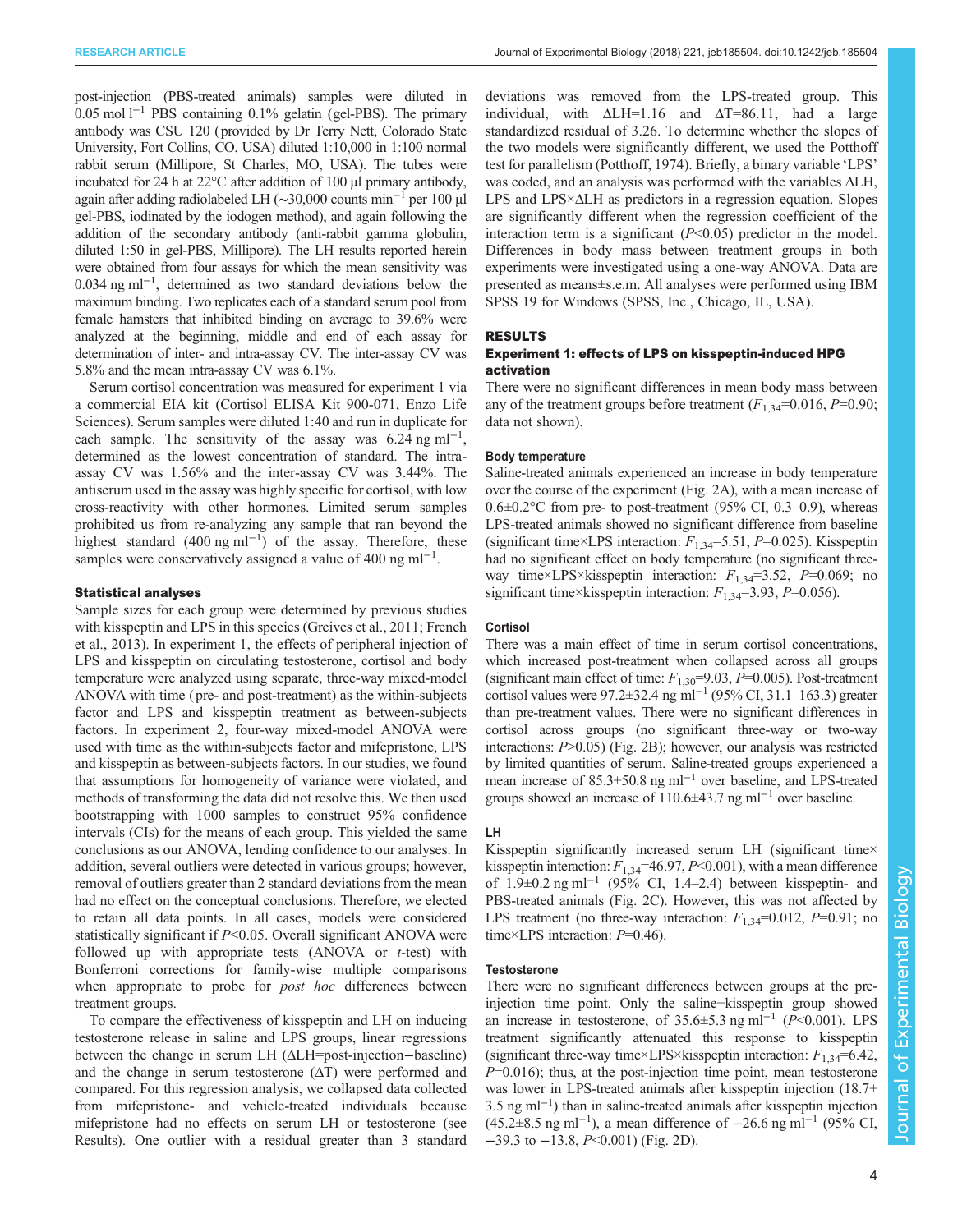post-injection (PBS-treated animals) samples were diluted in 0.05 mol l−<sup>1</sup> PBS containing 0.1% gelatin (gel-PBS). The primary antibody was CSU 120 (provided by Dr Terry Nett, Colorado State University, Fort Collins, CO, USA) diluted 1:10,000 in 1:100 normal rabbit serum (Millipore, St Charles, MO, USA). The tubes were incubated for 24 h at 22°C after addition of 100 µl primary antibody, again after adding radiolabeled LH (∼30,000 counts min−<sup>1</sup> per 100 µl gel-PBS, iodinated by the iodogen method), and again following the addition of the secondary antibody (anti-rabbit gamma globulin, diluted 1:50 in gel-PBS, Millipore). The LH results reported herein were obtained from four assays for which the mean sensitivity was 0.034 ng ml−<sup>1</sup> , determined as two standard deviations below the maximum binding. Two replicates each of a standard serum pool from female hamsters that inhibited binding on average to 39.6% were analyzed at the beginning, middle and end of each assay for determination of inter- and intra-assay CV. The inter-assay CV was 5.8% and the mean intra-assay CV was 6.1%.

Serum cortisol concentration was measured for experiment 1 via a commercial EIA kit (Cortisol ELISA Kit 900-071, Enzo Life Sciences). Serum samples were diluted 1:40 and run in duplicate for each sample. The sensitivity of the assay was  $6.24$  ng ml<sup>-1</sup>, determined as the lowest concentration of standard. The intraassay CV was 1.56% and the inter-assay CV was 3.44%. The antiserum used in the assay was highly specific for cortisol, with low cross-reactivity with other hormones. Limited serum samples prohibited us from re-analyzing any sample that ran beyond the highest standard  $(400 \text{ ng ml}^{-1})$  of the assay. Therefore, these samples were conservatively assigned a value of 400 ng ml<sup>-1</sup>.

## Statistical analyses

Sample sizes for each group were determined by previous studies with kisspeptin and LPS in this species ([Greives et al., 2011; French](#page-8-0) [et al., 2013\)](#page-8-0). In experiment 1, the effects of peripheral injection of LPS and kisspeptin on circulating testosterone, cortisol and body temperature were analyzed using separate, three-way mixed-model ANOVA with time ( pre- and post-treatment) as the within-subjects factor and LPS and kisspeptin treatment as between-subjects factors. In experiment 2, four-way mixed-model ANOVA were used with time as the within-subjects factor and mifepristone, LPS and kisspeptin as between-subjects factors. In our studies, we found that assumptions for homogeneity of variance were violated, and methods of transforming the data did not resolve this. We then used bootstrapping with 1000 samples to construct 95% confidence intervals (CIs) for the means of each group. This yielded the same conclusions as our ANOVA, lending confidence to our analyses. In addition, several outliers were detected in various groups; however, removal of outliers greater than 2 standard deviations from the mean had no effect on the conceptual conclusions. Therefore, we elected to retain all data points. In all cases, models were considered statistically significant if  $P<0.05$ . Overall significant ANOVA were followed up with appropriate tests  $(ANOVA \t{or} t-test)$  with Bonferroni corrections for family-wise multiple comparisons when appropriate to probe for post hoc differences between treatment groups.

To compare the effectiveness of kisspeptin and LH on inducing testosterone release in saline and LPS groups, linear regressions between the change in serum LH (ΔLH=post-injection−baseline) and the change in serum testosterone  $(ΔT)$  were performed and compared. For this regression analysis, we collapsed data collected from mifepristone- and vehicle-treated individuals because mifepristone had no effects on serum LH or testosterone (see Results). One outlier with a residual greater than 3 standard

deviations was removed from the LPS-treated group. This individual, with  $\Delta L H = 1.16$  and  $\Delta T = 86.11$ , had a large standardized residual of 3.26. To determine whether the slopes of the two models were significantly different, we used the Potthoff test for parallelism ([Potthoff, 1974\)](#page-8-0). Briefly, a binary variable 'LPS' was coded, and an analysis was performed with the variables ΔLH, LPS and LPS×ΔLH as predictors in a regression equation. Slopes are significantly different when the regression coefficient of the interaction term is a significant  $(P<0.05)$  predictor in the model. Differences in body mass between treatment groups in both experiments were investigated using a one-way ANOVA. Data are presented as means±s.e.m. All analyses were performed using IBM SPSS 19 for Windows (SPSS, Inc., Chicago, IL, USA).

#### RESULTS

## Experiment 1: effects of LPS on kisspeptin-induced HPG activation

There were no significant differences in mean body mass between any of the treatment groups before treatment  $(F_{1,34}=0.016, P=0.90;$ data not shown).

#### Body temperature

Saline-treated animals experienced an increase in body temperature over the course of the experiment ([Fig. 2](#page-4-0)A), with a mean increase of  $0.6\pm0.2$ °C from pre- to post-treatment (95% CI, 0.3–0.9), whereas LPS-treated animals showed no significant difference from baseline (significant time×LPS interaction:  $F_{1,34}$ =5.51, P=0.025). Kisspeptin had no significant effect on body temperature (no significant threeway time×LPS×kisspeptin interaction:  $F_{1,34}$ =3.52, P=0.069; no significant time×kisspeptin interaction:  $F_{1,34}$ =3.93, P=0.056).

#### **Cortisol**

There was a main effect of time in serum cortisol concentrations, which increased post-treatment when collapsed across all groups (significant main effect of time:  $F_{1,30}$ =9.03, P=0.005). Post-treatment cortisol values were 97.2±32.4 ng ml−<sup>1</sup> (95% CI, 31.1–163.3) greater than pre-treatment values. There were no significant differences in cortisol across groups (no significant three-way or two-way interactions:  $P > 0.05$ ) ([Fig. 2B](#page-4-0)); however, our analysis was restricted by limited quantities of serum. Saline-treated groups experienced a mean increase of 85.3±50.8 ng ml−<sup>1</sup> over baseline, and LPS-treated groups showed an increase of 110.6±43.7 ng ml<sup>-1</sup> over baseline.

#### LH

Kisspeptin significantly increased serum LH (significant time× kisspeptin interaction:  $F_{1,34}$ =46.97, P<0.001), with a mean difference of 1.9±0.2 ng ml−<sup>1</sup> (95% CI, 1.4–2.4) between kisspeptin- and PBS-treated animals ([Fig. 2C](#page-4-0)). However, this was not affected by LPS treatment (no three-way interaction:  $F_{1,34}$ =0.012, P=0.91; no time×LPS interaction:  $P=0.46$ ).

## **Testosterone**

There were no significant differences between groups at the preinjection time point. Only the saline+kisspeptin group showed an increase in testosterone, of 35.6±5.3 ng ml<sup>-1</sup> ( $\overline{P}$ <0.001). LPS treatment significantly attenuated this response to kisspeptin (significant three-way time×LPS×kisspeptin interaction:  $F_{1,34}$ =6.42,  $P=0.016$ ; thus, at the post-injection time point, mean testosterone was lower in LPS-treated animals after kisspeptin injection (18.7± 3.5 ng ml−<sup>1</sup> ) than in saline-treated animals after kisspeptin injection (45.2±8.5 ng ml<sup>-1</sup>), a mean difference of  $-26.6$  ng ml<sup>-1</sup> (95% CI, −39.3 to −13.8, P<0.001) [\(Fig. 2](#page-4-0)D).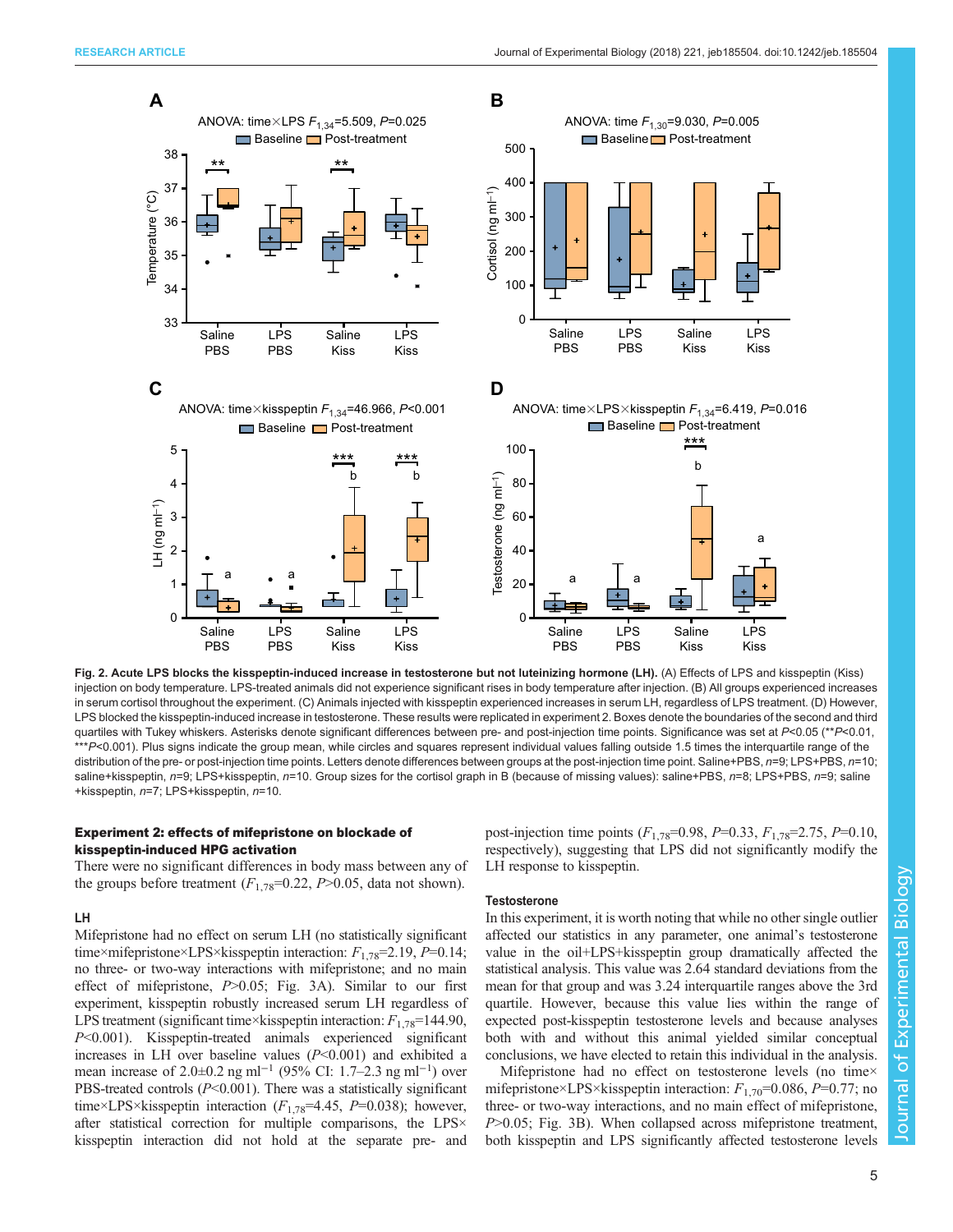<span id="page-4-0"></span>

Fig. 2. Acute LPS blocks the kisspeptin-induced increase in testosterone but not luteinizing hormone (LH). (A) Effects of LPS and kisspeptin (Kiss) injection on body temperature. LPS-treated animals did not experience significant rises in body temperature after injection. (B) All groups experienced increases in serum cortisol throughout the experiment. (C) Animals injected with kisspeptin experienced increases in serum LH, regardless of LPS treatment. (D) However, LPS blocked the kisspeptin-induced increase in testosterone. These results were replicated in experiment 2. Boxes denote the boundaries of the second and third quartiles with Tukey whiskers. Asterisks denote significant differences between pre- and post-injection time points. Significance was set at P<0.05 (\*P<0.01, \*\*\*P<0.001). Plus signs indicate the group mean, while circles and squares represent individual values falling outside 1.5 times the interquartile range of the distribution of the pre- or post-injection time points. Letters denote differences between groups at the post-injection time point. Saline+PBS, n=9; LPS+PBS, n=10; saline+kisspeptin, n=9; LPS+kisspeptin, n=10. Group sizes for the cortisol graph in B (because of missing values): saline+PBS, n=8; LPS+PBS, n=9; saline +kisspeptin, n=7; LPS+kisspeptin, n=10.

# Experiment 2: effects of mifepristone on blockade of kisspeptin-induced HPG activation

There were no significant differences in body mass between any of the groups before treatment  $(F_{1,78}=0.22, P>0.05,$  data not shown).

## LH

Mifepristone had no effect on serum LH (no statistically significant time×mifepristone×LPS×kisspeptin interaction:  $F_{1.78}$ =2.19, P=0.14; no three- or two-way interactions with mifepristone; and no main effect of mifepristone, P>0.05; [Fig. 3](#page-5-0)A). Similar to our first experiment, kisspeptin robustly increased serum LH regardless of LPS treatment (significant time×kisspeptin interaction:  $F_{1.78}$ =144.90, P<0.001). Kisspeptin-treated animals experienced significant increases in LH over baseline values  $(P<0.001)$  and exhibited a mean increase of 2.0±0.2 ng ml<sup>-1</sup> (95% CI: 1.7–2.3 ng ml<sup>-1</sup>) over PBS-treated controls  $(P<0.001)$ . There was a statistically significant time×LPS×kisspeptin interaction ( $F_{1,78}$ =4.45, P=0.038); however, after statistical correction for multiple comparisons, the LPS× kisspeptin interaction did not hold at the separate pre- and

post-injection time points  $(F_{1,78}=0.98, P=0.33, F_{1,78}=2.75, P=0.10,$ respectively), suggesting that LPS did not significantly modify the LH response to kisspeptin.

## **Testosterone**

In this experiment, it is worth noting that while no other single outlier affected our statistics in any parameter, one animal's testosterone value in the oil+LPS+kisspeptin group dramatically affected the statistical analysis. This value was 2.64 standard deviations from the mean for that group and was 3.24 interquartile ranges above the 3rd quartile. However, because this value lies within the range of expected post-kisspeptin testosterone levels and because analyses both with and without this animal yielded similar conceptual conclusions, we have elected to retain this individual in the analysis.

Mifepristone had no effect on testosterone levels (no time× mifepristone×LPS×kisspeptin interaction:  $F_{1,70}$ =0.086, P=0.77; no three- or two-way interactions, and no main effect of mifepristone, P>0.05; [Fig. 3](#page-5-0)B). When collapsed across mifepristone treatment, both kisspeptin and LPS significantly affected testosterone levels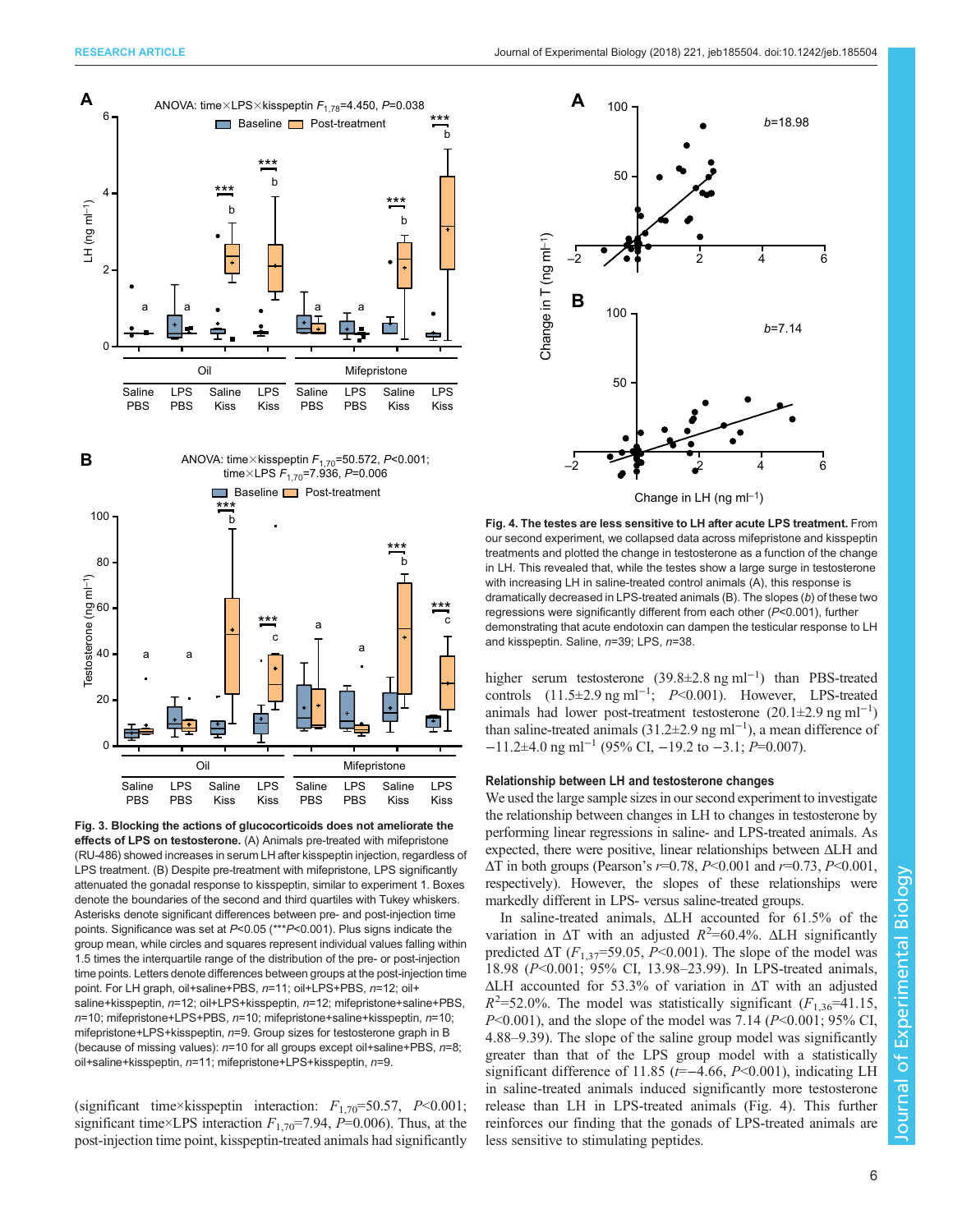<span id="page-5-0"></span>



Fig. 3. Blocking the actions of glucocorticoids does not ameliorate the effects of LPS on testosterone. (A) Animals pre-treated with mifepristone (RU-486) showed increases in serum LH after kisspeptin injection, regardless of LPS treatment. (B) Despite pre-treatment with mifepristone, LPS significantly attenuated the gonadal response to kisspeptin, similar to experiment 1. Boxes denote the boundaries of the second and third quartiles with Tukey whiskers. Asterisks denote significant differences between pre- and post-injection time points. Significance was set at P<0.05 (\*\*\*P<0.001). Plus signs indicate the group mean, while circles and squares represent individual values falling within 1.5 times the interquartile range of the distribution of the pre- or post-injection time points. Letters denote differences between groups at the post-injection time point. For LH graph, oil+saline+PBS, n=11; oil+LPS+PBS, n=12; oil+ saline+kisspeptin, n=12; oil+LPS+kisspeptin, n=12; mifepristone+saline+PBS, n=10; mifepristone+LPS+PBS, n=10; mifepristone+saline+kisspeptin, n=10; mifepristone+LPS+kisspeptin, n=9. Group sizes for testosterone graph in B (because of missing values):  $n=10$  for all groups except oil+saline+PBS,  $n=8$ ; oil+saline+kisspeptin, n=11; mifepristone+LPS+kisspeptin, n=9.

(significant time×kisspeptin interaction:  $F_{1,70}$ =50.57, P<0.001; significant time×LPS interaction  $F_{1,70}$ =7.94, P=0.006). Thus, at the post-injection time point, kisspeptin-treated animals had significantly



Fig. 4. The testes are less sensitive to LH after acute LPS treatment. From our second experiment, we collapsed data across mifepristone and kisspeptin treatments and plotted the change in testosterone as a function of the change in LH. This revealed that, while the testes show a large surge in testosterone with increasing LH in saline-treated control animals (A), this response is dramatically decreased in LPS-treated animals (B). The slopes (b) of these two regressions were significantly different from each other (P<0.001), further demonstrating that acute endotoxin can dampen the testicular response to LH and kisspeptin. Saline, n=39; LPS, n=38.

higher serum testosterone (39.8±2.8 ng ml−<sup>1</sup> ) than PBS-treated controls  $(11.5\pm2.9 \text{ ng ml}^{-1}; P<0.001)$ . However, LPS-treated animals had lower post-treatment testosterone  $(20.1 \pm 2.9 \text{ ng ml}^{-1})$ than saline-treated animals (31.2±2.9 ng ml−<sup>1</sup> ), a mean difference of  $-11.2\pm4.0$  ng ml<sup>-1</sup> (95% CI, -19.2 to -3.1; P=0.007).

#### Relationship between LH and testosterone changes

We used the large sample sizes in our second experiment to investigate the relationship between changes in LH to changes in testosterone by performing linear regressions in saline- and LPS-treated animals. As expected, there were positive, linear relationships between ΔLH and  $\Delta T$  in both groups (Pearson's  $r=0.78$ ,  $P<0.001$  and  $r=0.73$ ,  $P<0.001$ , respectively). However, the slopes of these relationships were markedly different in LPS- versus saline-treated groups.

In saline-treated animals, ΔLH accounted for 61.5% of the variation in  $\Delta T$  with an adjusted  $R^2$ =60.4%.  $\Delta L$ H significantly predicted  $\Delta T$  ( $F_{1,37}$ =59.05, P<0.001). The slope of the model was 18.98 (P<0.001; 95% CI, 13.98–23.99). In LPS-treated animals, ΔLH accounted for 53.3% of variation in ΔT with an adjusted  $R^2$ =52.0%. The model was statistically significant ( $F_{1,36}$ =41.15,  $P<0.001$ ), and the slope of the model was 7.14 ( $P<0.001$ ; 95% CI, 4.88–9.39). The slope of the saline group model was significantly greater than that of the LPS group model with a statistically significant difference of 11.85 ( $t=-4.66$ ,  $P<0.001$ ), indicating LH in saline-treated animals induced significantly more testosterone release than LH in LPS-treated animals (Fig. 4). This further reinforces our finding that the gonads of LPS-treated animals are less sensitive to stimulating peptides.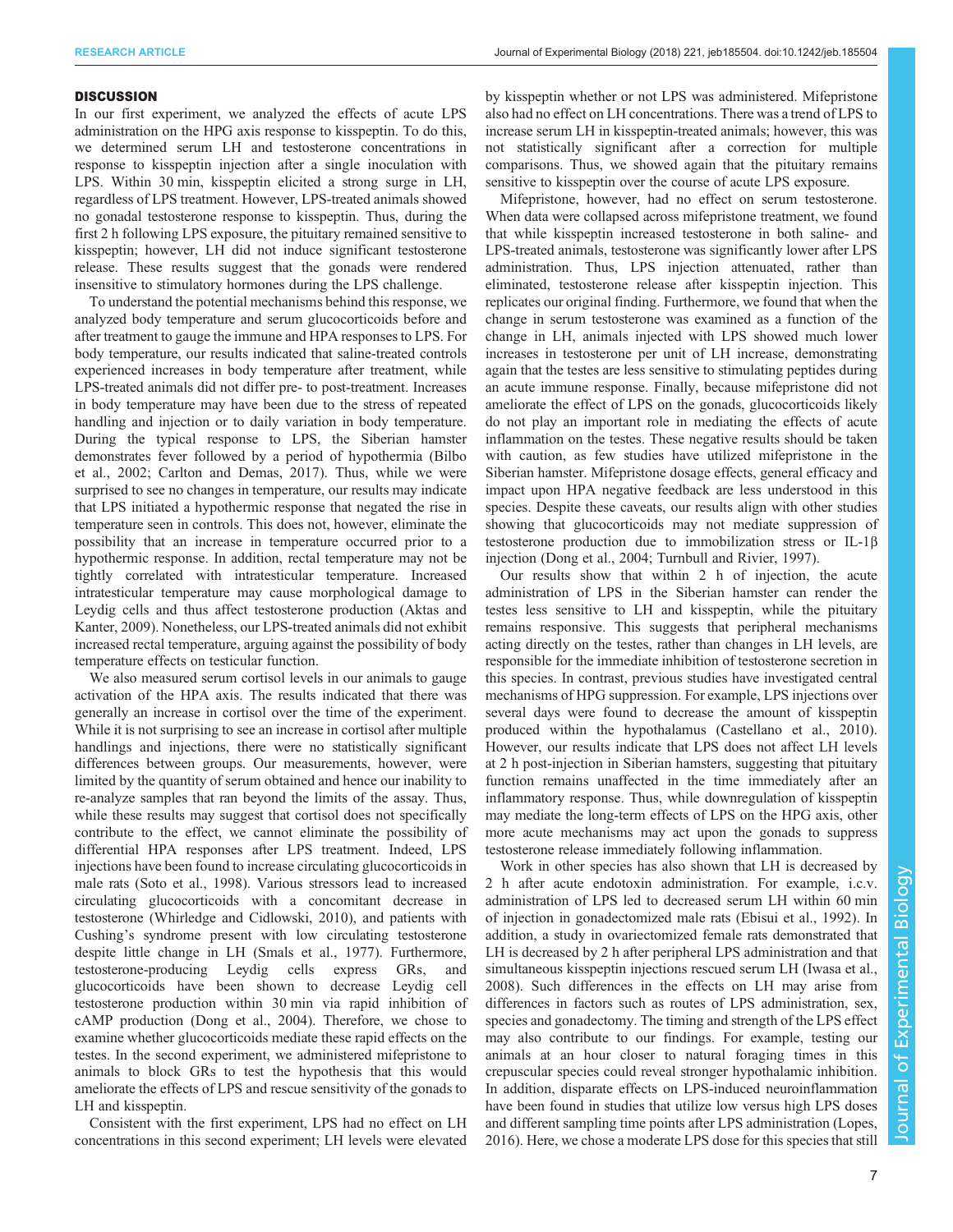#### **DISCUSSION**

In our first experiment, we analyzed the effects of acute LPS administration on the HPG axis response to kisspeptin. To do this, we determined serum LH and testosterone concentrations in response to kisspeptin injection after a single inoculation with LPS. Within 30 min, kisspeptin elicited a strong surge in LH, regardless of LPS treatment. However, LPS-treated animals showed no gonadal testosterone response to kisspeptin. Thus, during the first 2 h following LPS exposure, the pituitary remained sensitive to kisspeptin; however, LH did not induce significant testosterone release. These results suggest that the gonads were rendered insensitive to stimulatory hormones during the LPS challenge.

To understand the potential mechanisms behind this response, we analyzed body temperature and serum glucocorticoids before and after treatment to gauge the immune and HPA responses to LPS. For body temperature, our results indicated that saline-treated controls experienced increases in body temperature after treatment, while LPS-treated animals did not differ pre- to post-treatment. Increases in body temperature may have been due to the stress of repeated handling and injection or to daily variation in body temperature. During the typical response to LPS, the Siberian hamster demonstrates fever followed by a period of hypothermia ([Bilbo](#page-8-0) [et al., 2002; Carlton and Demas, 2017](#page-8-0)). Thus, while we were surprised to see no changes in temperature, our results may indicate that LPS initiated a hypothermic response that negated the rise in temperature seen in controls. This does not, however, eliminate the possibility that an increase in temperature occurred prior to a hypothermic response. In addition, rectal temperature may not be tightly correlated with intratesticular temperature. Increased intratesticular temperature may cause morphological damage to Leydig cells and thus affect testosterone production [\(Aktas and](#page-7-0) [Kanter, 2009\)](#page-7-0). Nonetheless, our LPS-treated animals did not exhibit increased rectal temperature, arguing against the possibility of body temperature effects on testicular function.

We also measured serum cortisol levels in our animals to gauge activation of the HPA axis. The results indicated that there was generally an increase in cortisol over the time of the experiment. While it is not surprising to see an increase in cortisol after multiple handlings and injections, there were no statistically significant differences between groups. Our measurements, however, were limited by the quantity of serum obtained and hence our inability to re-analyze samples that ran beyond the limits of the assay. Thus, while these results may suggest that cortisol does not specifically contribute to the effect, we cannot eliminate the possibility of differential HPA responses after LPS treatment. Indeed, LPS injections have been found to increase circulating glucocorticoids in male rats ([Soto et al., 1998\)](#page-8-0). Various stressors lead to increased circulating glucocorticoids with a concomitant decrease in testosterone [\(Whirledge and Cidlowski, 2010\)](#page-8-0), and patients with Cushing's syndrome present with low circulating testosterone despite little change in LH ([Smals et al., 1977\)](#page-8-0). Furthermore, testosterone-producing Leydig cells express GRs, and glucocorticoids have been shown to decrease Leydig cell testosterone production within 30 min via rapid inhibition of cAMP production ([Dong et al., 2004\)](#page-8-0). Therefore, we chose to examine whether glucocorticoids mediate these rapid effects on the testes. In the second experiment, we administered mifepristone to animals to block GRs to test the hypothesis that this would ameliorate the effects of LPS and rescue sensitivity of the gonads to LH and kisspeptin.

Consistent with the first experiment, LPS had no effect on LH concentrations in this second experiment; LH levels were elevated by kisspeptin whether or not LPS was administered. Mifepristone also had no effect on LH concentrations. There was a trend of LPS to increase serum LH in kisspeptin-treated animals; however, this was not statistically significant after a correction for multiple comparisons. Thus, we showed again that the pituitary remains sensitive to kisspeptin over the course of acute LPS exposure.

Mifepristone, however, had no effect on serum testosterone. When data were collapsed across mifepristone treatment, we found that while kisspeptin increased testosterone in both saline- and LPS-treated animals, testosterone was significantly lower after LPS administration. Thus, LPS injection attenuated, rather than eliminated, testosterone release after kisspeptin injection. This replicates our original finding. Furthermore, we found that when the change in serum testosterone was examined as a function of the change in LH, animals injected with LPS showed much lower increases in testosterone per unit of LH increase, demonstrating again that the testes are less sensitive to stimulating peptides during an acute immune response. Finally, because mifepristone did not ameliorate the effect of LPS on the gonads, glucocorticoids likely do not play an important role in mediating the effects of acute inflammation on the testes. These negative results should be taken with caution, as few studies have utilized mifepristone in the Siberian hamster. Mifepristone dosage effects, general efficacy and impact upon HPA negative feedback are less understood in this species. Despite these caveats, our results align with other studies showing that glucocorticoids may not mediate suppression of testosterone production due to immobilization stress or IL-1β injection ([Dong et al., 2004; Turnbull and Rivier, 1997\)](#page-8-0).

Our results show that within 2 h of injection, the acute administration of LPS in the Siberian hamster can render the testes less sensitive to LH and kisspeptin, while the pituitary remains responsive. This suggests that peripheral mechanisms acting directly on the testes, rather than changes in LH levels, are responsible for the immediate inhibition of testosterone secretion in this species. In contrast, previous studies have investigated central mechanisms of HPG suppression. For example, LPS injections over several days were found to decrease the amount of kisspeptin produced within the hypothalamus [\(Castellano et al., 2010\)](#page-8-0). However, our results indicate that LPS does not affect LH levels at 2 h post-injection in Siberian hamsters, suggesting that pituitary function remains unaffected in the time immediately after an inflammatory response. Thus, while downregulation of kisspeptin may mediate the long-term effects of LPS on the HPG axis, other more acute mechanisms may act upon the gonads to suppress testosterone release immediately following inflammation.

Work in other species has also shown that LH is decreased by 2 h after acute endotoxin administration. For example, i.c.v. administration of LPS led to decreased serum LH within 60 min of injection in gonadectomized male rats [\(Ebisui et al., 1992](#page-8-0)). In addition, a study in ovariectomized female rats demonstrated that LH is decreased by 2 h after peripheral LPS administration and that simultaneous kisspeptin injections rescued serum LH ([Iwasa et al.,](#page-8-0) [2008\)](#page-8-0). Such differences in the effects on LH may arise from differences in factors such as routes of LPS administration, sex, species and gonadectomy. The timing and strength of the LPS effect may also contribute to our findings. For example, testing our animals at an hour closer to natural foraging times in this crepuscular species could reveal stronger hypothalamic inhibition. In addition, disparate effects on LPS-induced neuroinflammation have been found in studies that utilize low versus high LPS doses and different sampling time points after LPS administration ([Lopes,](#page-8-0) [2016\)](#page-8-0). Here, we chose a moderate LPS dose for this species that still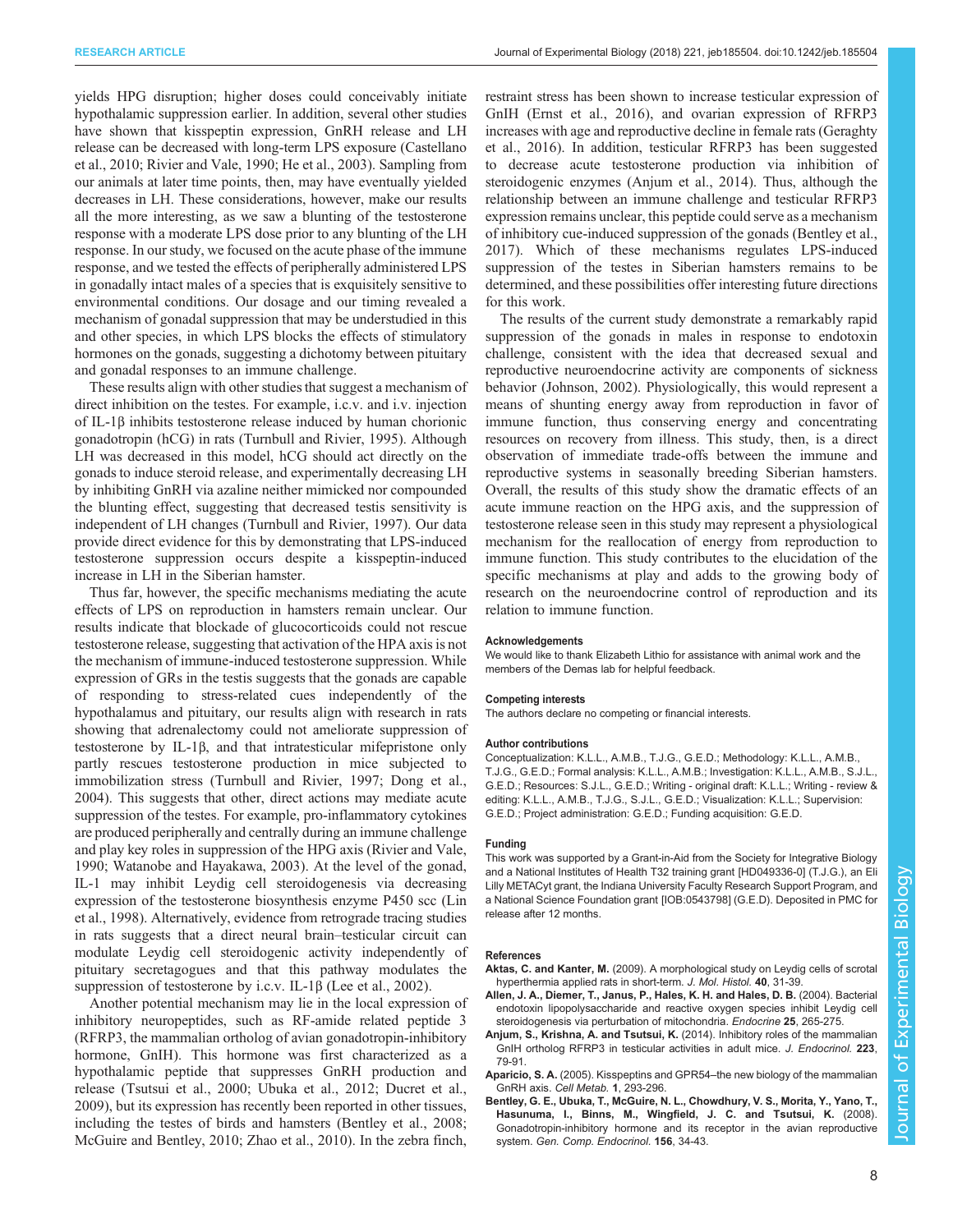<span id="page-7-0"></span>yields HPG disruption; higher doses could conceivably initiate hypothalamic suppression earlier. In addition, several other studies have shown that kisspeptin expression, GnRH release and LH release can be decreased with long-term LPS exposure [\(Castellano](#page-8-0) [et al., 2010; Rivier and Vale, 1990; He et al., 2003](#page-8-0)). Sampling from our animals at later time points, then, may have eventually yielded decreases in LH. These considerations, however, make our results all the more interesting, as we saw a blunting of the testosterone response with a moderate LPS dose prior to any blunting of the LH response. In our study, we focused on the acute phase of the immune response, and we tested the effects of peripherally administered LPS in gonadally intact males of a species that is exquisitely sensitive to environmental conditions. Our dosage and our timing revealed a mechanism of gonadal suppression that may be understudied in this and other species, in which LPS blocks the effects of stimulatory hormones on the gonads, suggesting a dichotomy between pituitary and gonadal responses to an immune challenge.

These results align with other studies that suggest a mechanism of direct inhibition on the testes. For example, i.c.v. and i.v. injection of IL-1β inhibits testosterone release induced by human chorionic gonadotropin (hCG) in rats ([Turnbull and Rivier, 1995](#page-8-0)). Although LH was decreased in this model, hCG should act directly on the gonads to induce steroid release, and experimentally decreasing LH by inhibiting GnRH via azaline neither mimicked nor compounded the blunting effect, suggesting that decreased testis sensitivity is independent of LH changes [\(Turnbull and Rivier, 1997\)](#page-8-0). Our data provide direct evidence for this by demonstrating that LPS-induced testosterone suppression occurs despite a kisspeptin-induced increase in LH in the Siberian hamster.

Thus far, however, the specific mechanisms mediating the acute effects of LPS on reproduction in hamsters remain unclear. Our results indicate that blockade of glucocorticoids could not rescue testosterone release, suggesting that activation of the HPA axis is not the mechanism of immune-induced testosterone suppression. While expression of GRs in the testis suggests that the gonads are capable of responding to stress-related cues independently of the hypothalamus and pituitary, our results align with research in rats showing that adrenalectomy could not ameliorate suppression of testosterone by IL-1β, and that intratesticular mifepristone only partly rescues testosterone production in mice subjected to immobilization stress [\(Turnbull and Rivier, 1997; Dong et al.,](#page-8-0) [2004](#page-8-0)). This suggests that other, direct actions may mediate acute suppression of the testes. For example, pro-inflammatory cytokines are produced peripherally and centrally during an immune challenge and play key roles in suppression of the HPG axis ([Rivier and Vale,](#page-8-0) [1990](#page-8-0); [Watanobe and Hayakawa, 2003](#page-8-0)). At the level of the gonad, IL-1 may inhibit Leydig cell steroidogenesis via decreasing expression of the testosterone biosynthesis enzyme P450 scc ([Lin](#page-8-0) [et al., 1998](#page-8-0)). Alternatively, evidence from retrograde tracing studies in rats suggests that a direct neural brain–testicular circuit can modulate Leydig cell steroidogenic activity independently of pituitary secretagogues and that this pathway modulates the suppression of testosterone by i.c.v. IL-1β ([Lee et al., 2002](#page-8-0)).

Another potential mechanism may lie in the local expression of inhibitory neuropeptides, such as RF-amide related peptide 3 (RFRP3, the mammalian ortholog of avian gonadotropin-inhibitory hormone, GnIH). This hormone was first characterized as a hypothalamic peptide that suppresses GnRH production and release [\(Tsutsui et al., 2000; Ubuka et al., 2012](#page-8-0); [Ducret et al.,](#page-8-0) [2009](#page-8-0)), but its expression has recently been reported in other tissues, including the testes of birds and hamsters (Bentley et al., 2008; [McGuire and Bentley, 2010; Zhao et al., 2010](#page-8-0)). In the zebra finch,

restraint stress has been shown to increase testicular expression of GnIH ([Ernst et al., 2016\)](#page-8-0), and ovarian expression of RFRP3 increases with age and reproductive decline in female rats [\(Geraghty](#page-8-0) [et al., 2016\)](#page-8-0). In addition, testicular RFRP3 has been suggested to decrease acute testosterone production via inhibition of steroidogenic enzymes (Anjum et al., 2014). Thus, although the relationship between an immune challenge and testicular RFRP3 expression remains unclear, this peptide could serve as a mechanism of inhibitory cue-induced suppression of the gonads [\(Bentley et al.,](#page-8-0) [2017\)](#page-8-0). Which of these mechanisms regulates LPS-induced suppression of the testes in Siberian hamsters remains to be determined, and these possibilities offer interesting future directions for this work.

The results of the current study demonstrate a remarkably rapid suppression of the gonads in males in response to endotoxin challenge, consistent with the idea that decreased sexual and reproductive neuroendocrine activity are components of sickness behavior [\(Johnson, 2002\)](#page-8-0). Physiologically, this would represent a means of shunting energy away from reproduction in favor of immune function, thus conserving energy and concentrating resources on recovery from illness. This study, then, is a direct observation of immediate trade-offs between the immune and reproductive systems in seasonally breeding Siberian hamsters. Overall, the results of this study show the dramatic effects of an acute immune reaction on the HPG axis, and the suppression of testosterone release seen in this study may represent a physiological mechanism for the reallocation of energy from reproduction to immune function. This study contributes to the elucidation of the specific mechanisms at play and adds to the growing body of research on the neuroendocrine control of reproduction and its relation to immune function.

#### Acknowledgements

We would like to thank Elizabeth Lithio for assistance with animal work and the members of the Demas lab for helpful feedback.

#### Competing interests

The authors declare no competing or financial interests.

#### Author contributions

Conceptualization: K.L.L., A.M.B., T.J.G., G.E.D.; Methodology: K.L.L., A.M.B., T.J.G., G.E.D.; Formal analysis: K.L.L., A.M.B.; Investigation: K.L.L., A.M.B., S.J.L., G.E.D.; Resources: S.J.L., G.E.D.; Writing - original draft: K.L.L.; Writing - review & editing: K.L.L., A.M.B., T.J.G., S.J.L., G.E.D.; Visualization: K.L.L.; Supervision: G.E.D.; Project administration: G.E.D.; Funding acquisition: G.E.D.

#### Funding

This work was supported by a Grant-in-Aid from the Society for Integrative Biology and a National Institutes of Health T32 training grant [HD049336-0] (T.J.G.), an Eli Lilly METACyt grant, the Indiana University Faculty Research Support Program, and a National Science Foundation grant [IOB:0543798] (G.E.D). Deposited in PMC for release after 12 months.

#### References

- Aktas, C. and Kanter, M. [\(2009\). A morphological study on Leydig cells of scrotal](http://dx.doi.org/10.1007/s10735-009-9210-9) [hyperthermia applied rats in short-term.](http://dx.doi.org/10.1007/s10735-009-9210-9) J. Mol. Histol. 40, 31-39.
- [Allen, J. A., Diemer, T., Janus, P., Hales, K. H. and Hales, D. B.](http://dx.doi.org/10.1385/ENDO:25:3:265) (2004). Bacterial [endotoxin lipopolysaccharide and reactive oxygen species inhibit Leydig cell](http://dx.doi.org/10.1385/ENDO:25:3:265) [steroidogenesis via perturbation of mitochondria.](http://dx.doi.org/10.1385/ENDO:25:3:265) Endocrine 25, 265-275.
- Anjum, S., Krishna, A. and Tsutsui, K. [\(2014\). Inhibitory roles of the mammalian](http://dx.doi.org/10.1530/JOE-14-0333) [GnIH ortholog RFRP3 in testicular activities in adult mice.](http://dx.doi.org/10.1530/JOE-14-0333) J. Endocrinol. 223, [79-91.](http://dx.doi.org/10.1530/JOE-14-0333)
- Aparicio, S. A. (2005). Kisspeptins and GPR54-[the new biology of the mammalian](http://dx.doi.org/10.1016/j.cmet.2005.04.001) [GnRH axis.](http://dx.doi.org/10.1016/j.cmet.2005.04.001) Cell Metab. 1, 293-296.
- [Bentley, G. E., Ubuka, T., McGuire, N. L., Chowdhury, V. S., Morita, Y., Yano, T.,](http://dx.doi.org/10.1016/j.ygcen.2007.10.003) [Hasunuma, I., Binns, M., Wingfield, J. C. and Tsutsui, K.](http://dx.doi.org/10.1016/j.ygcen.2007.10.003) (2008). [Gonadotropin-inhibitory hormone and its receptor in the avian reproductive](http://dx.doi.org/10.1016/j.ygcen.2007.10.003) system. [Gen. Comp. Endocrinol.](http://dx.doi.org/10.1016/j.ygcen.2007.10.003) 156, 34-43.